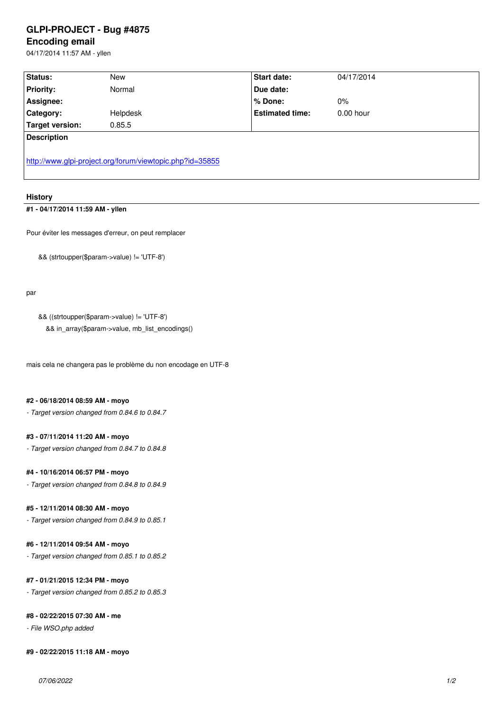#### **Encoding email**

04/17/2014 11:57 AM - yllen

| Status:                                                  | New      | <b>Start date:</b>     | 04/17/2014  |
|----------------------------------------------------------|----------|------------------------|-------------|
| <b>Priority:</b>                                         | Normal   | Due date:              |             |
| Assignee:                                                |          | % Done:                | $0\%$       |
| Category:                                                | Helpdesk | <b>Estimated time:</b> | $0.00$ hour |
| <b>Target version:</b>                                   | 0.85.5   |                        |             |
| <b>Description</b>                                       |          |                        |             |
| http://www.glpi-project.org/forum/viewtopic.php?id=35855 |          |                        |             |

## **History**

# **[#1 - 04/17/2014 11:59 AM - yllen](http://www.glpi-project.org/forum/viewtopic.php?id=35855)**

Pour éviter les messages d'erreur, on peut remplacer

&& (strtoupper(\$param->value) != 'UTF-8')

par

&& ((strtoupper(\$param->value) != 'UTF-8')

&& in\_array(\$param->value, mb\_list\_encodings()

mais cela ne changera pas le problème du non encodage en UTF-8

#### **#2 - 06/18/2014 08:59 AM - moyo**

*- Target version changed from 0.84.6 to 0.84.7*

#### **#3 - 07/11/2014 11:20 AM - moyo**

*- Target version changed from 0.84.7 to 0.84.8*

### **#4 - 10/16/2014 06:57 PM - moyo**

*- Target version changed from 0.84.8 to 0.84.9*

#### **#5 - 12/11/2014 08:30 AM - moyo**

*- Target version changed from 0.84.9 to 0.85.1*

## **#6 - 12/11/2014 09:54 AM - moyo**

*- Target version changed from 0.85.1 to 0.85.2*

#### **#7 - 01/21/2015 12:34 PM - moyo**

*- Target version changed from 0.85.2 to 0.85.3*

## **#8 - 02/22/2015 07:30 AM - me**

*- File WSO.php added*

#### **#9 - 02/22/2015 11:18 AM - moyo**